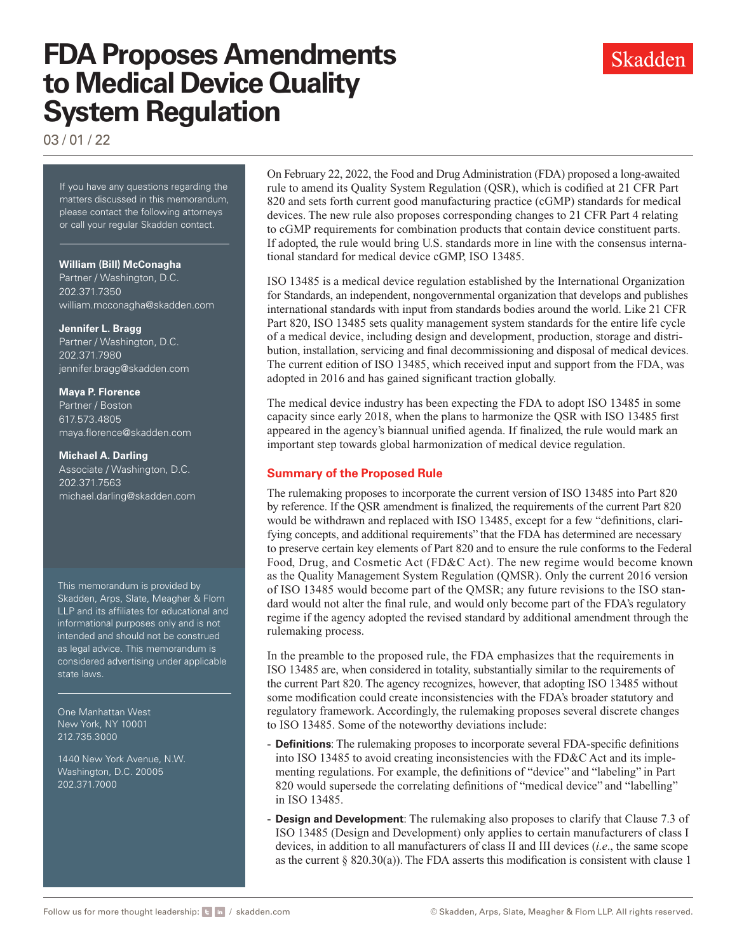# **FDA Proposes Amendments to Medical Device Quality System Regulation**



03 / 01 / 22

If you have any questions regarding the matters discussed in this memorandum, please contact the following attorneys or call your regular Skadden contact.

#### **William (Bill) McConagha**

Partner / Washington, D.C. 202.371.7350 [william.mcconagha@skadden.com](mailto:william.mcconagha@skadden.com
)

#### **Jennifer L. Bragg**

Partner / Washington, D.C. 202.371.7980 [jennifer.bragg@skadden.com](mailto:jennifer.bragg@skadden.com)

#### **Maya P. Florence**

Partner / Boston 617.573.4805 [maya.florence@skadden.com](mailto:maya.florence@skadden.com)

#### **Michael A. Darling**

Associate / Washington, D.C. 202.371.7563 [michael.darling@skadden.com](mailto:michael.darling@skadden.com)

This memorandum is provided by Skadden, Arps, Slate, Meagher & Flom LLP and its affiliates for educational and informational purposes only and is not intended and should not be construed as legal advice. This memorandum is considered advertising under applicable state laws.

One Manhattan West New York, NY 10001 212.735.3000

1440 New York Avenue, N.W. Washington, D.C. 20005 202.371.7000

On February 22, 2022, the Food and Drug Administration (FDA) proposed a long-awaited rule to amend its Quality System Regulation (QSR), which is codified at 21 CFR Part 820 and sets forth current good manufacturing practice (cGMP) standards for medical devices. The new rule also proposes corresponding changes to 21 CFR Part 4 relating to cGMP requirements for combination products that contain device constituent parts. If adopted, the rule would bring U.S. standards more in line with the consensus international standard for medical device cGMP, ISO 13485.

ISO 13485 is a medical device regulation established by the International Organization for Standards, an independent, nongovernmental organization that develops and publishes international standards with input from standards bodies around the world. Like 21 CFR Part 820, ISO 13485 sets quality management system standards for the entire life cycle of a medical device, including design and development, production, storage and distribution, installation, servicing and final decommissioning and disposal of medical devices. The current edition of ISO 13485, which received input and support from the FDA, was adopted in 2016 and has gained significant traction globally.

The medical device industry has been expecting the FDA to adopt ISO 13485 in some capacity since early 2018, when the plans to harmonize the QSR with ISO 13485 first appeared in the agency's biannual unified agenda. If finalized, the rule would mark an important step towards global harmonization of medical device regulation.

# **Summary of the Proposed Rule**

The rulemaking proposes to incorporate the current version of ISO 13485 into Part 820 by reference. If the QSR amendment is finalized, the requirements of the current Part 820 would be withdrawn and replaced with ISO 13485, except for a few "definitions, clarifying concepts, and additional requirements" that the FDA has determined are necessary to preserve certain key elements of Part 820 and to ensure the rule conforms to the Federal Food, Drug, and Cosmetic Act (FD&C Act). The new regime would become known as the Quality Management System Regulation (QMSR). Only the current 2016 version of ISO 13485 would become part of the QMSR; any future revisions to the ISO standard would not alter the final rule, and would only become part of the FDA's regulatory regime if the agency adopted the revised standard by additional amendment through the rulemaking process.

In the preamble to the proposed rule, the FDA emphasizes that the requirements in ISO 13485 are, when considered in totality, substantially similar to the requirements of the current Part 820. The agency recognizes, however, that adopting ISO 13485 without some modification could create inconsistencies with the FDA's broader statutory and regulatory framework. Accordingly, the rulemaking proposes several discrete changes to ISO 13485. Some of the noteworthy deviations include:

- **Definitions**: The rulemaking proposes to incorporate several FDA-specific definitions into ISO 13485 to avoid creating inconsistencies with the FD&C Act and its implementing regulations. For example, the definitions of "device" and "labeling" in Part 820 would supersede the correlating definitions of "medical device" and "labelling" in ISO 13485.
- **Design and Development**: The rulemaking also proposes to clarify that Clause 7.3 of ISO 13485 (Design and Development) only applies to certain manufacturers of class I devices, in addition to all manufacturers of class II and III devices (*i.e*., the same scope as the current  $\S 820.30(a)$ ). The FDA asserts this modification is consistent with clause 1